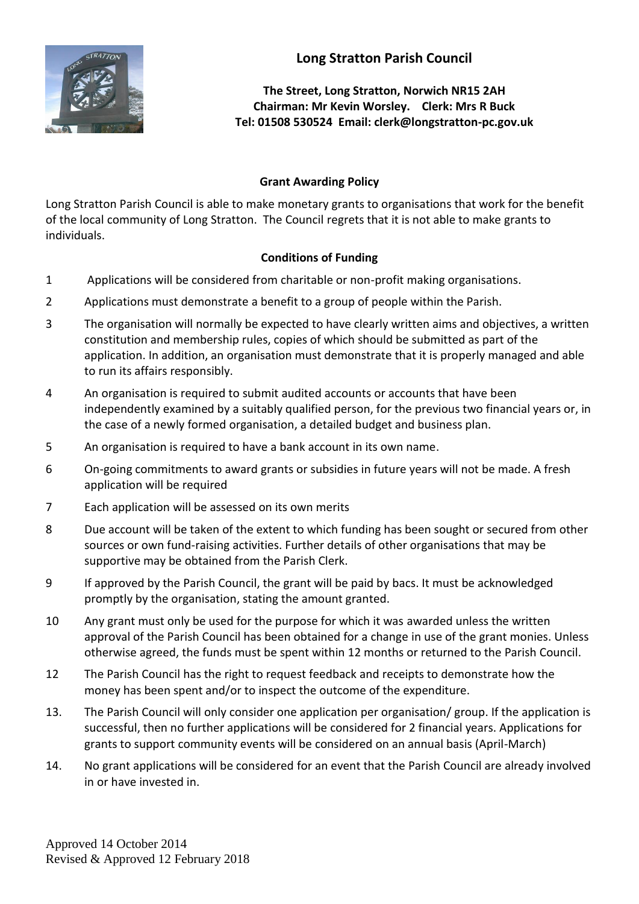

**The Street, Long Stratton, Norwich NR15 2AH Chairman: Mr Kevin Worsley. Clerk: Mrs R Buck Tel: 01508 530524 Email: clerk@longstratton-pc.gov.uk**

## **Grant Awarding Policy**

Long Stratton Parish Council is able to make monetary grants to organisations that work for the benefit of the local community of Long Stratton. The Council regrets that it is not able to make grants to individuals.

## **Conditions of Funding**

- 1 Applications will be considered from charitable or non-profit making organisations.
- 2 Applications must demonstrate a benefit to a group of people within the Parish.
- 3 The organisation will normally be expected to have clearly written aims and objectives, a written constitution and membership rules, copies of which should be submitted as part of the application. In addition, an organisation must demonstrate that it is properly managed and able to run its affairs responsibly.
- 4 An organisation is required to submit audited accounts or accounts that have been independently examined by a suitably qualified person, for the previous two financial years or, in the case of a newly formed organisation, a detailed budget and business plan.
- 5 An organisation is required to have a bank account in its own name.
- 6 On-going commitments to award grants or subsidies in future years will not be made. A fresh application will be required
- 7 Each application will be assessed on its own merits
- 8 Due account will be taken of the extent to which funding has been sought or secured from other sources or own fund-raising activities. Further details of other organisations that may be supportive may be obtained from the Parish Clerk.
- 9 If approved by the Parish Council, the grant will be paid by bacs. It must be acknowledged promptly by the organisation, stating the amount granted.
- 10 Any grant must only be used for the purpose for which it was awarded unless the written approval of the Parish Council has been obtained for a change in use of the grant monies. Unless otherwise agreed, the funds must be spent within 12 months or returned to the Parish Council.
- 12 The Parish Council has the right to request feedback and receipts to demonstrate how the money has been spent and/or to inspect the outcome of the expenditure.
- 13. The Parish Council will only consider one application per organisation/ group. If the application is successful, then no further applications will be considered for 2 financial years. Applications for grants to support community events will be considered on an annual basis (April-March)
- 14. No grant applications will be considered for an event that the Parish Council are already involved in or have invested in.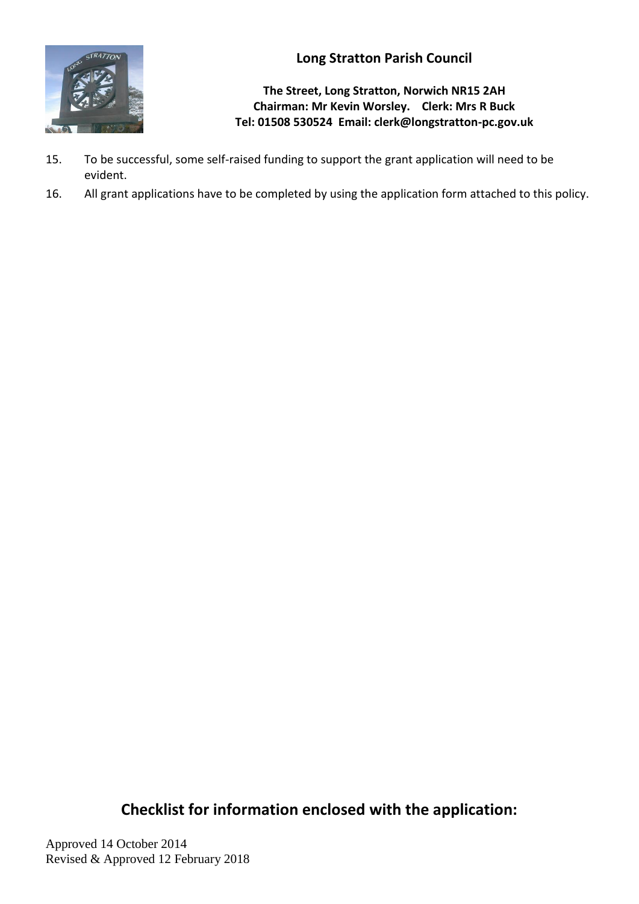

**The Street, Long Stratton, Norwich NR15 2AH Chairman: Mr Kevin Worsley. Clerk: Mrs R Buck Tel: 01508 530524 Email: clerk@longstratton-pc.gov.uk**

- 15. To be successful, some self-raised funding to support the grant application will need to be evident.
- 16. All grant applications have to be completed by using the application form attached to this policy.

**Checklist for information enclosed with the application:**

Approved 14 October 2014 Revised & Approved 12 February 2018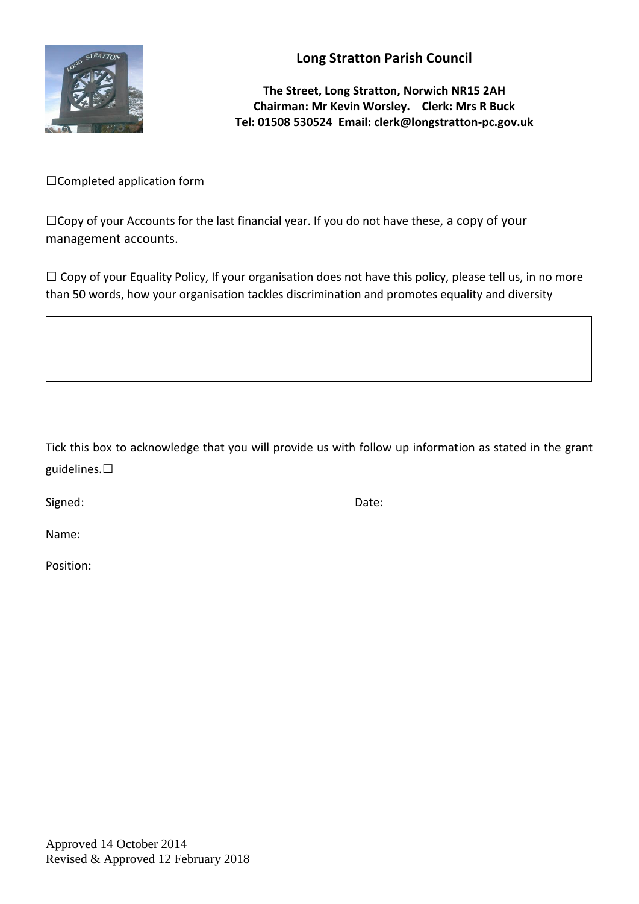

**The Street, Long Stratton, Norwich NR15 2AH Chairman: Mr Kevin Worsley. Clerk: Mrs R Buck Tel: 01508 530524 Email: clerk@longstratton-pc.gov.uk**

□Completed application form

 $\Box$ Copy of your Accounts for the last financial year. If you do not have these, a copy of your management accounts.

 $\Box$  Copy of your Equality Policy, If your organisation does not have this policy, please tell us, in no more than 50 words, how your organisation tackles discrimination and promotes equality and diversity

Tick this box to acknowledge that you will provide us with follow up information as stated in the grant guidelines.□

Signed: Date:

Name:

Position: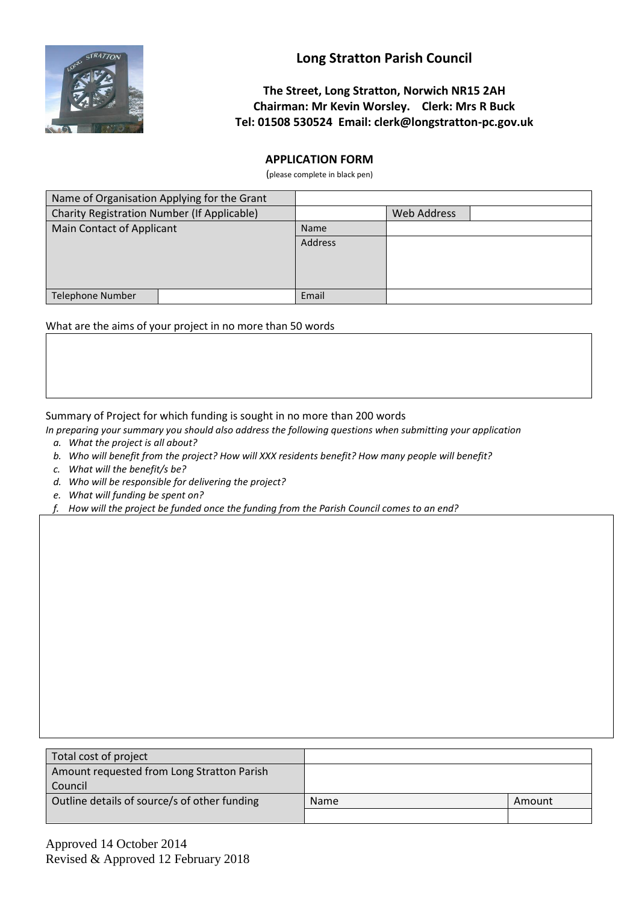

### **The Street, Long Stratton, Norwich NR15 2AH Chairman: Mr Kevin Worsley. Clerk: Mrs R Buck Tel: 01508 530524 Email: clerk@longstratton-pc.gov.uk**

#### **APPLICATION FORM**

(please complete in black pen)

| Name of Organisation Applying for the Grant |  |             |             |  |
|---------------------------------------------|--|-------------|-------------|--|
| Charity Registration Number (If Applicable) |  |             | Web Address |  |
| Main Contact of Applicant                   |  | <b>Name</b> |             |  |
|                                             |  | Address     |             |  |
|                                             |  |             |             |  |
| <b>Telephone Number</b>                     |  | Email       |             |  |

What are the aims of your project in no more than 50 words

Summary of Project for which funding is sought in no more than 200 words

- *In preparing your summary you should also address the following questions when submitting your application* 
	- *a. What the project is all about?*
	- *b. Who will benefit from the project? How will XXX residents benefit? How many people will benefit?*
	- *c. What will the benefit/s be?*
	- *d. Who will be responsible for delivering the project?*
	- *e. What will funding be spent on?*
	- *f. How will the project be funded once the funding from the Parish Council comes to an end?*

| Total cost of project                        |             |        |
|----------------------------------------------|-------------|--------|
| Amount requested from Long Stratton Parish   |             |        |
| Council                                      |             |        |
| Outline details of source/s of other funding | <b>Name</b> | Amount |
|                                              |             |        |